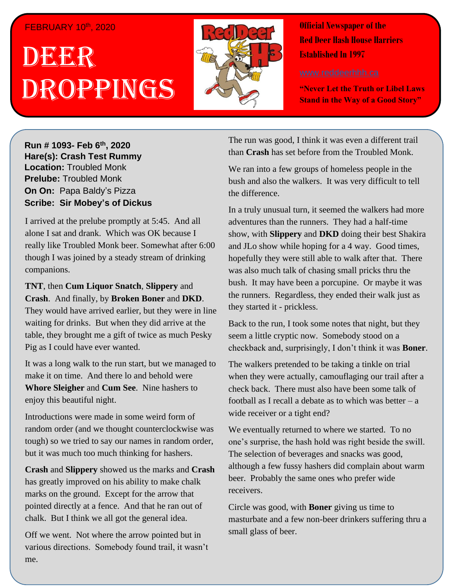## FEBRUARY 10th, 2020

## . 1 DEER , 2018 Droppings



**Official Newspaper of the Red Deer Hash House Harriers Established In 1997** 

**"Never Let the Truth or Libel Laws Stand in the Way of a Good Story"**

**Run # 1075- Oct. 3 rd, 2019 Hare(s): Deep Throat with a little help from her Run # 1093- Feb 6 th , 2020 virgin friend Hare(s): Crash Test Rummy Location: Troubled Monk Prelube:** Troubled Monk **On On: Papa Baldy's Pizza Sir Siri** I apa Baia<sub>j</sub> Sirik<br>Berikas Bir Mekanis of I *Have Scribe: Sir Mobey's of Dickus* 

I arrived at the prelube promptly at 5:45. And all alone I sat and drank. Which was OK because I the state and the state when the state when there is the state when the state when the state when the state when the state when the state when the state when the state when the state when the state when the state when the to be some of my friends out at State and Main and Main and Main and Main and Main and Main and Main and Main a really like Troubled Monk beer. Somewhat after 6:00

**TNT**, then **Cum Liquor Snatch**, **Slippery** and **Crash.** And finally, by **Broken Boner** and **DKD**. They would have arrived earlier, but they were in line waiting for drinks. But when they did arrive at the table, they brought me a gift of twice as much Pesky *Have you ever had someone be so obsessed with the*  Pig as I could have ever wanted.

make it on time. And there lo and behold were **Whore Sleigher** and **Cum See**. Nine hashers to enjoy this beautiful night. It was a long walk to the run start, but we managed to

Introductions were made in some weird form of random order (and we thought counterclockwise was but it was much too much thinking for hashers. tough) so we tried to say our names in random order,

was very modest of her. She also wrote on the background of her. She also wrote on the background of her. She that may show that we have a strong and state. marks on the ground. Except for the arrow that pointed directly at a fence. And that he ran out of chalk. But I think we all got the general idea. **Crash** and **Slippery** showed us the marks and **Crash**

Off we went. Not where the arrow pointed but in various directions. Somebody found trail, it wasn't me.

The run was good, I think it was even a different trail than **Crash** has set before from the Troubled Monk.

We ran into a few groups of homeless people in the bush and also the walkers. It was very difficult to tell the difference.

In a truly unusual turn, it seemed the walkers had more adventures than the runners. They had a half-time show, with **Slippery** and **DKD** doing their best Shakira and JLo show while hoping for a 4 way. Good times, hopefully they were still able to walk after that. There was also much talk of chasing small pricks thru the bush. It may have been a porcupine. Or maybe it was the runners. Regardless, they ended their walk just as they started it - prickless.

Back to the run, I took some notes that night, but they seem a little cryptic now. Somebody stood on a checkback and, surprisingly, I don't think it was **Boner**.

The walkers pretended to be taking a tinkle on trial when they were actually, camouflaging our trail after a check back. There must also have been some talk of football as I recall a debate as to which was better  $-$  a wide receiver or a tight end?

We eventually returned to where we started. To no one's surprise, the hash hold was right beside the swill. The selection of beverages and snacks was good, although a few fussy hashers did complain about warm beer. Probably the same ones who prefer wide receivers.

Circle was good, with **Boner** giving us time to masturbate and a few non-beer drinkers suffering thru a small glass of beer.